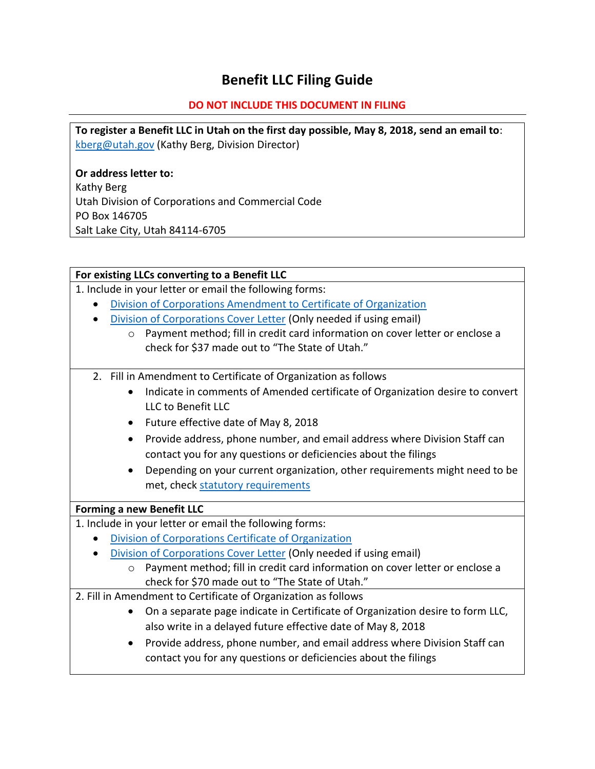# **Benefit LLC Filing Guide**

## **DO NOT INCLUDE THIS DOCUMENT IN FILING**

**To register a Benefit LLC in Utah on the first day possible, May 8, 2018, send an email to**: [kberg@utah.gov](mailto:kberg@utah.gov) (Kathy Berg, Division Director)

**Or address letter to:** Kathy Berg Utah Division of Corporations and Commercial Code PO Box 146705 Salt Lake City, Utah 84114-6705

### **For existing LLCs converting to a Benefit LLC**

1. Include in your letter or email the following forms:

- [Division of Corporations Amendment to Certificate of Organization](https://corporations.utah.gov/pdf/llcamendform2.pdf)
- [Division of Corporations Cover Letter](https://corporations.utah.gov/pdf/llcdomestic.pdf) (Only needed if using email)
	- o Payment method; fill in credit card information on cover letter or enclose a check for \$37 made out to "The State of Utah."
- 2. Fill in Amendment to Certificate of Organization as follows
	- Indicate in comments of Amended certificate of Organization desire to convert LLC to Benefit LLC
	- Future effective date of May 8, 2018
	- Provide address, phone number, and email address where Division Staff can contact you for any questions or deficiencies about the filings
	- Depending on your current organization, other requirements might need to be met, check [statutory requirements](https://le.utah.gov/~2018/bills/static/HB0186.html)

## **Forming a new Benefit LLC**

1. Include in your letter or email the following forms:

- [Division of Corporations Certificate of Organization](https://corporations.utah.gov/pdf/llcdomestic.pdf)
- [Division of Corporations Cover Letter](https://corporations.utah.gov/pdf/llcdomestic.pdf) (Only needed if using email)
	- o Payment method; fill in credit card information on cover letter or enclose a check for \$70 made out to "The State of Utah."

2. Fill in Amendment to Certificate of Organization as follows

- On a separate page indicate in Certificate of Organization desire to form LLC, also write in a delayed future effective date of May 8, 2018
- Provide address, phone number, and email address where Division Staff can contact you for any questions or deficiencies about the filings